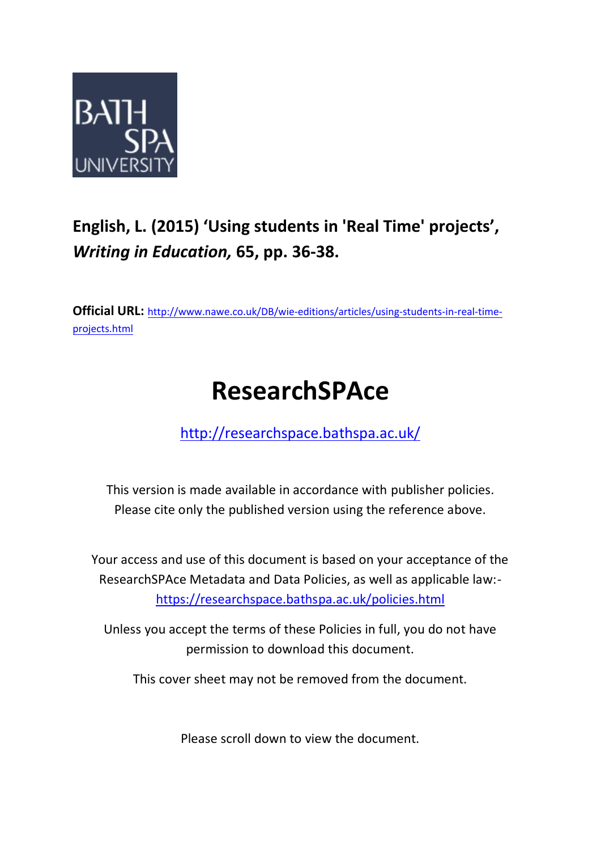

# **English, L. (2015) 'Using students in 'Real Time' projects' ,** *Writing in Education,* **65, pp. 36-38.**

**Official URL:** http://w[ww.nawe.co.uk/DB/wie-editions/articles/using-students-in-real-time](http://www.nawe.co.uk/DB/wie-editions/articles/using-students-in-real-time-projects.html)[projects.html](http://www.nawe.co.uk/DB/wie-editions/articles/using-students-in-real-time-projects.html)

# **ResearchSPAce**

<http://researchspace.bathspa.ac.uk/>

This version is made available in accordance with publisher policies. Please cite only the published version using the reference above.

Your access and use of this document is based on your acceptance of the ResearchSPAce Metadata and Data Policies, as well as applicable law: https://researchspace.bathspa.ac.uk/policies.html

Unless you accept the terms of these Policies in full, you do not have permission to download this document.

This cover sheet may not be removed from the document.

Please scroll down to view the document.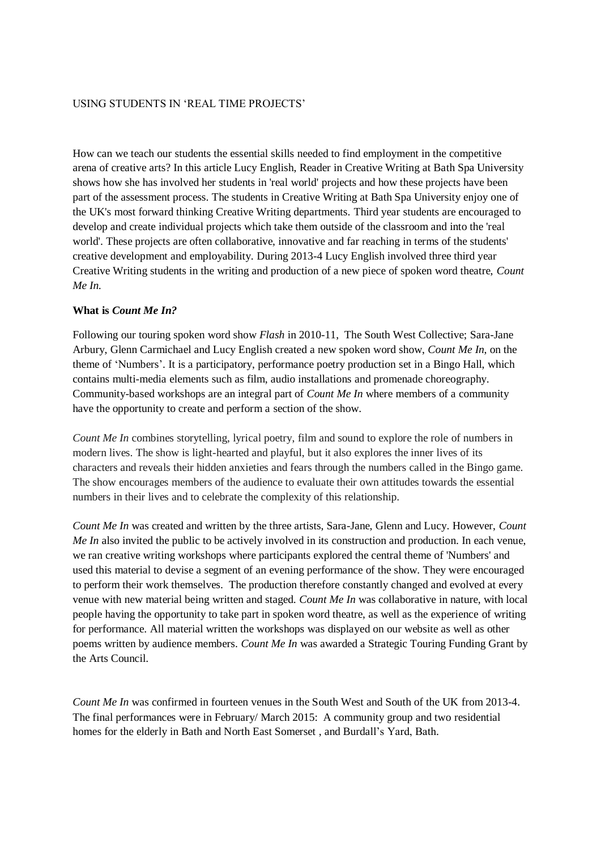#### USING STUDENTS IN 'REAL TIME PROJECTS'

How can we teach our students the essential skills needed to find employment in the competitive arena of creative arts? In this article Lucy English, Reader in Creative Writing at Bath Spa University shows how she has involved her students in 'real world' projects and how these projects have been part of the assessment process. The students in Creative Writing at Bath Spa University enjoy one of the UK's most forward thinking Creative Writing departments. Third year students are encouraged to develop and create individual projects which take them outside of the classroom and into the 'real world'. These projects are often collaborative, innovative and far reaching in terms of the students' creative development and employability. During 2013-4 Lucy English involved three third year Creative Writing students in the writing and production of a new piece of spoken word theatre, *Count Me In.*

### **What is** *Count Me In?*

Following our touring spoken word show *Flash* in 2010-11, The South West Collective; Sara-Jane Arbury, Glenn Carmichael and Lucy English created a new spoken word show, *Count Me In*, on the theme of 'Numbers'. It is a participatory, performance poetry production set in a Bingo Hall, which contains multi-media elements such as film, audio installations and promenade choreography. Community-based workshops are an integral part of *Count Me In* where members of a community have the opportunity to create and perform a section of the show.

*Count Me In* combines storytelling, lyrical poetry, film and sound to explore the role of numbers in modern lives. The show is light-hearted and playful, but it also explores the inner lives of its characters and reveals their hidden anxieties and fears through the numbers called in the Bingo game. The show encourages members of the audience to evaluate their own attitudes towards the essential numbers in their lives and to celebrate the complexity of this relationship.

*Count Me In* was created and written by the three artists, Sara-Jane, Glenn and Lucy. However, *Count Me In* also invited the public to be actively involved in its construction and production. In each venue, we ran creative writing workshops where participants explored the central theme of 'Numbers' and used this material to devise a segment of an evening performance of the show. They were encouraged to perform their work themselves. The production therefore constantly changed and evolved at every venue with new material being written and staged. *Count Me In* was collaborative in nature, with local people having the opportunity to take part in spoken word theatre, as well as the experience of writing for performance. All material written the workshops was displayed on our website as well as other poems written by audience members. *Count Me In* was awarded a Strategic Touring Funding Grant by the Arts Council.

*Count Me In* was confirmed in fourteen venues in the South West and South of the UK from 2013-4. The final performances were in February/ March 2015: A community group and two residential homes for the elderly in Bath and North East Somerset , and Burdall's Yard, Bath.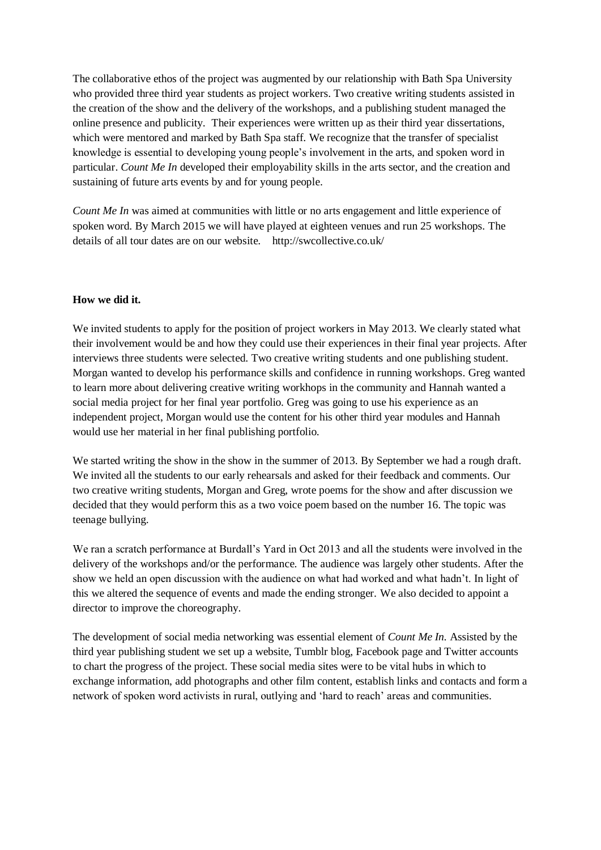The collaborative ethos of the project was augmented by our relationship with Bath Spa University who provided three third year students as project workers. Two creative writing students assisted in the creation of the show and the delivery of the workshops, and a publishing student managed the online presence and publicity. Their experiences were written up as their third year dissertations, which were mentored and marked by Bath Spa staff. We recognize that the transfer of specialist knowledge is essential to developing young people's involvement in the arts, and spoken word in particular. *Count Me In* developed their employability skills in the arts sector, and the creation and sustaining of future arts events by and for young people.

*Count Me In* was aimed at communities with little or no arts engagement and little experience of spoken word. By March 2015 we will have played at eighteen venues and run 25 workshops. The details of all tour dates are on our website. http://swcollective.co.uk/

#### **How we did it.**

We invited students to apply for the position of project workers in May 2013. We clearly stated what their involvement would be and how they could use their experiences in their final year projects. After interviews three students were selected. Two creative writing students and one publishing student. Morgan wanted to develop his performance skills and confidence in running workshops. Greg wanted to learn more about delivering creative writing workhops in the community and Hannah wanted a social media project for her final year portfolio. Greg was going to use his experience as an independent project, Morgan would use the content for his other third year modules and Hannah would use her material in her final publishing portfolio.

We started writing the show in the show in the summer of 2013. By September we had a rough draft. We invited all the students to our early rehearsals and asked for their feedback and comments. Our two creative writing students, Morgan and Greg, wrote poems for the show and after discussion we decided that they would perform this as a two voice poem based on the number 16. The topic was teenage bullying.

We ran a scratch performance at Burdall's Yard in Oct 2013 and all the students were involved in the delivery of the workshops and/or the performance. The audience was largely other students. After the show we held an open discussion with the audience on what had worked and what hadn't. In light of this we altered the sequence of events and made the ending stronger. We also decided to appoint a director to improve the choreography.

The development of social media networking was essential element of *Count Me In.* Assisted by the third year publishing student we set up a website, Tumblr blog, Facebook page and Twitter accounts to chart the progress of the project. These social media sites were to be vital hubs in which to exchange information, add photographs and other film content, establish links and contacts and form a network of spoken word activists in rural, outlying and 'hard to reach' areas and communities.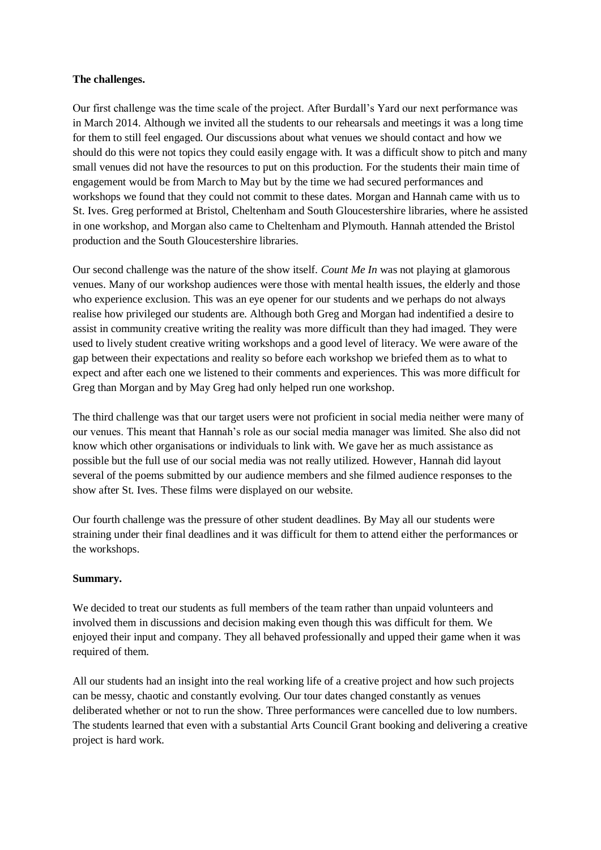#### **The challenges.**

Our first challenge was the time scale of the project. After Burdall's Yard our next performance was in March 2014. Although we invited all the students to our rehearsals and meetings it was a long time for them to still feel engaged. Our discussions about what venues we should contact and how we should do this were not topics they could easily engage with. It was a difficult show to pitch and many small venues did not have the resources to put on this production. For the students their main time of engagement would be from March to May but by the time we had secured performances and workshops we found that they could not commit to these dates. Morgan and Hannah came with us to St. Ives. Greg performed at Bristol, Cheltenham and South Gloucestershire libraries, where he assisted in one workshop, and Morgan also came to Cheltenham and Plymouth. Hannah attended the Bristol production and the South Gloucestershire libraries.

Our second challenge was the nature of the show itself. *Count Me In* was not playing at glamorous venues. Many of our workshop audiences were those with mental health issues, the elderly and those who experience exclusion. This was an eye opener for our students and we perhaps do not always realise how privileged our students are. Although both Greg and Morgan had indentified a desire to assist in community creative writing the reality was more difficult than they had imaged. They were used to lively student creative writing workshops and a good level of literacy. We were aware of the gap between their expectations and reality so before each workshop we briefed them as to what to expect and after each one we listened to their comments and experiences. This was more difficult for Greg than Morgan and by May Greg had only helped run one workshop.

The third challenge was that our target users were not proficient in social media neither were many of our venues. This meant that Hannah's role as our social media manager was limited. She also did not know which other organisations or individuals to link with. We gave her as much assistance as possible but the full use of our social media was not really utilized. However, Hannah did layout several of the poems submitted by our audience members and she filmed audience responses to the show after St. Ives. These films were displayed on our website.

Our fourth challenge was the pressure of other student deadlines. By May all our students were straining under their final deadlines and it was difficult for them to attend either the performances or the workshops.

#### **Summary.**

We decided to treat our students as full members of the team rather than unpaid volunteers and involved them in discussions and decision making even though this was difficult for them. We enjoyed their input and company. They all behaved professionally and upped their game when it was required of them.

All our students had an insight into the real working life of a creative project and how such projects can be messy, chaotic and constantly evolving. Our tour dates changed constantly as venues deliberated whether or not to run the show. Three performances were cancelled due to low numbers. The students learned that even with a substantial Arts Council Grant booking and delivering a creative project is hard work.